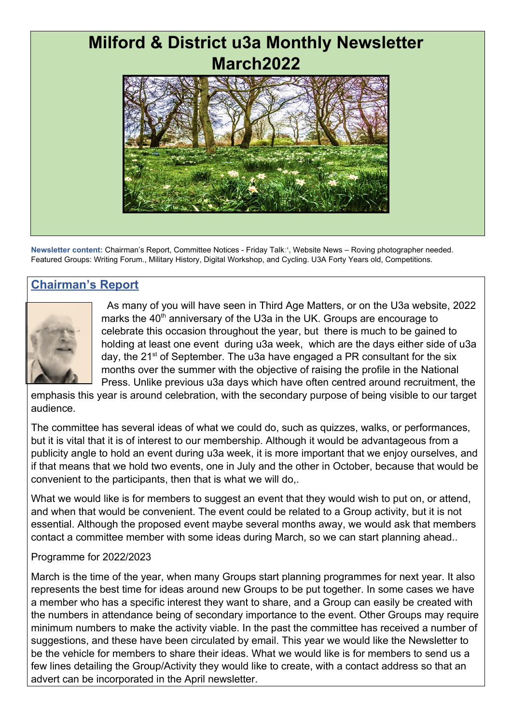# **Milford & District u3a Monthly Newsletter March2022**

**Newsletter content:** Chairman's Report, Committee Notices - Friday Talk:**',** Website News – Roving photographer needed. Featured Groups: Writing Forum., Military History, Digital Workshop, and Cycling. U3A Forty Years old, Competitions.

# **Chairman's Report**



 As many of you will have seen in Third Age Matters, or on the U3a website, 2022 marks the 40<sup>th</sup> anniversary of the U3a in the UK. Groups are encourage to celebrate this occasion throughout the year, but there is much to be gained to holding at least one event during u3a week, which are the days either side of u3a day, the 21<sup>st</sup> of September. The u3a have engaged a PR consultant for the six months over the summer with the objective of raising the profile in the National Press. Unlike previous u3a days which have often centred around recruitment, the

emphasis this year is around celebration, with the secondary purpose of being visible to our target audience.

The committee has several ideas of what we could do, such as quizzes, walks, or performances, but it is vital that it is of interest to our membership. Although it would be advantageous from a publicity angle to hold an event during u3a week, it is more important that we enjoy ourselves, and if that means that we hold two events, one in July and the other in October, because that would be convenient to the participants, then that is what we will do,.

What we would like is for members to suggest an event that they would wish to put on, or attend, and when that would be convenient. The event could be related to a Group activity, but it is not essential. Although the proposed event maybe several months away, we would ask that members contact a committee member with some ideas during March, so we can start planning ahead..

#### Programme for 2022/2023

March is the time of the year, when many Groups start planning programmes for next year. It also represents the best time for ideas around new Groups to be put together. In some cases we have a member who has a specific interest they want to share, and a Group can easily be created with the numbers in attendance being of secondary importance to the event. Other Groups may require minimum numbers to make the activity viable. In the past the committee has received a number of suggestions, and these have been circulated by email. This year we would like the Newsletter to be the vehicle for members to share their ideas. What we would like is for members to send us a few lines detailing the Group/Activity they would like to create, with a contact address so that an advert can be incorporated in the April newsletter.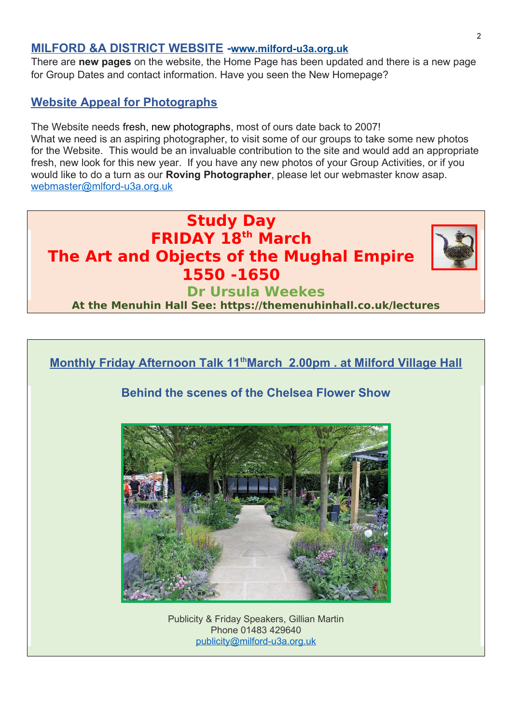#### **MILFORD &A DISTRICT WEBSITE -[www.milford-u3a.org.uk](../../../../../C:/Users/User/Documents/Milford%20u3a%20Newsletter/www.milford-u3a.org.uk)**

There are **new pages** on the website, the Home Page has been updated and there is a new page for Group Dates and contact information. Have you seen the New Homepage?

#### **Website Appeal for Photographs**

The Website needs fresh, new photographs, most of ours date back to 2007! What we need is an aspiring photographer, to visit some of our groups to take some new photos for the Website. This would be an invaluable contribution to the site and would add an appropriate fresh, new look for this new year. If you have any new photos of your Group Activities, or if you would like to do a turn as our **Roving Photographer**, please let our webmaster know asap. [webmaster@mlford-u3a.org.uk](../../../../../C:/Users/User/Documents/Milford%20u3a%20Newsletter/webmaster@mlford-u3a.org.uk)





Phone 01483 429640 [publicity@milford-u3a.org.uk](mailto:publicity@milford-u3a.org.uk)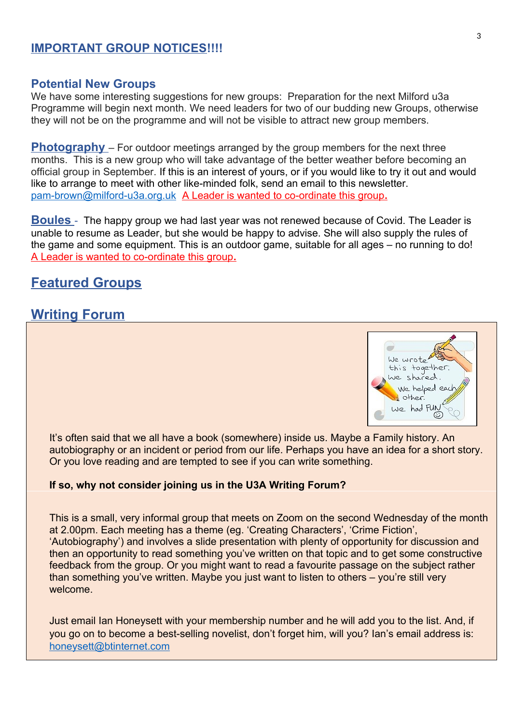#### **IMPORTANT GROUP NOTICES!!!!**

#### **Potential New Groups**

We have some interesting suggestions for new groups: Preparation for the next Milford u3a Programme will begin next month. We need leaders for two of our budding new Groups, otherwise they will not be on the programme and will not be visible to attract new group members.

**Photography** – For outdoor meetings arranged by the group members for the next three months. This is a new group who will take advantage of the better weather before becoming an official group in September. If this is an interest of yours, or if you would like to try it out and would like to arrange to meet with other like-minded folk, send an email to this newsletter. [pam-brown@milford-u3a.org.uk](../../../../../C:/Users/User/Documents/Milford%20u3a%20Newsletter/pam-brown@milford-u3a.org.uk) A Leader is wanted to co-ordinate this group**.**

**Boules** - The happy group we had last year was not renewed because of Covid. The Leader is unable to resume as Leader, but she would be happy to advise. She will also supply the rules of the game and some equipment. This is an outdoor game, suitable for all ages – no running to do! A Leader is wanted to co-ordinate this group**.**

## **Featured Groups**

## **Writing Forum**



It's often said that we all have a book (somewhere) inside us. Maybe a Family history. An autobiography or an incident or period from our life. Perhaps you have an idea for a short story. Or you love reading and are tempted to see if you can write something.

#### **If so, why not consider joining us in the U3A Writing Forum?**

This is a small, very informal group that meets on Zoom on the second Wednesday of the month at 2.00pm. Each meeting has a theme (eg. 'Creating Characters', 'Crime Fiction', 'Autobiography') and involves a slide presentation with plenty of opportunity for discussion and then an opportunity to read something you've written on that topic and to get some constructive feedback from the group. Or you might want to read a favourite passage on the subject rather than something you've written. Maybe you just want to listen to others – you're still very welcome.

Just email Ian Honeysett with your membership number and he will add you to the list. And, if you go on to become a best-selling novelist, don't forget him, will you? Ian's email address is: [honeysett@btinternet.com](mailto:honeysett@btinternet.com)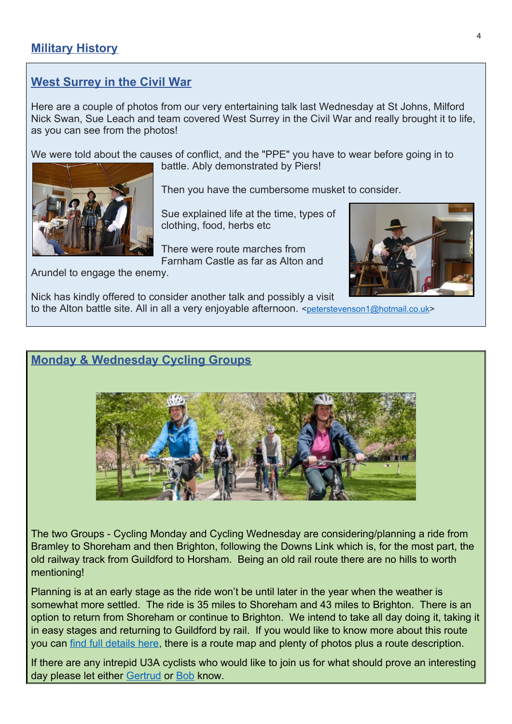# **West Surrey in the Civil War**

Here are a couple of photos from our very entertaining talk last Wednesday at St Johns, Milford Nick Swan, Sue Leach and team covered West Surrey in the Civil War and really brought it to life, as you can see from the photos!

We were told about the causes of conflict, and the "PPE" you have to wear before going in to



battle. Ably demonstrated by Piers!

Then you have the cumbersome musket to consider.

Sue explained life at the time, types of clothing, food, herbs etc

There were route marches from Farnham Castle as far as Alton and



Arundel to engage the enemy.

Nick has kindly offered to consider another talk and possibly a visit

to the Alton battle site. All in all a very enjoyable afternoon. <[peterstevenson1@hotmail.co.uk>](peterstevenson1@hotmail.co.uk)

## **Monday & Wednesday Cycling Groups**



The two Groups - Cycling Monday and Cycling Wednesday are considering/planning a ride from Bramley to Shoreham and then Brighton, following the Downs Link which is, for the most part, the old railway track from Guildford to Horsham. Being an old rail route there are no hills to worth mentioning!

Planning is at an early stage as the ride won't be until later in the year when the weather is somewhat more settled. The ride is 35 miles to Shoreham and 43 miles to Brighton. There is an option to return from Shoreham or continue to Brighton. We intend to take all day doing it, taking it in easy stages and returning to Guildford by rail. If you would like to know more about this route you can [find full details here,](http://www.cyclingfromguildford.co.uk/route3.html) there is a route map and plenty of photos plus a route description.

If there are any intrepid U3A cyclists who would like to join us for what should prove an interesting day please let either [Gertrud](mailto:gertrud.sollars@milford-u3a.org.uk) or [Bob](mailto:bob.fearnley@milford-u3a.org.uk) know.